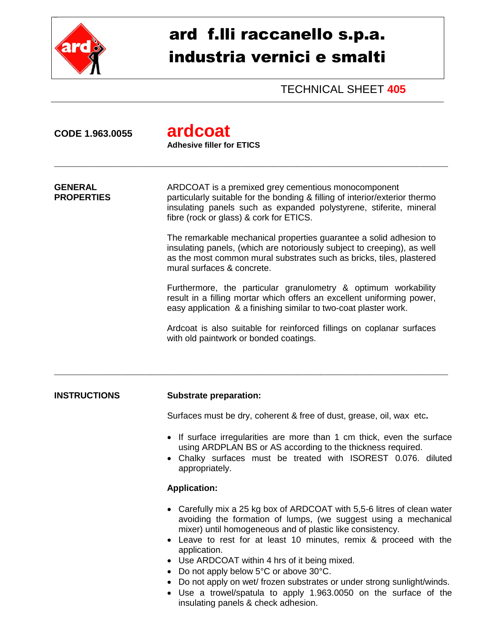

# ard f.lli raccanello s.p.a. industria vernici e smalti

TECHNICAL SHEET **405**

| CODE 1.963.0055                     | ardcoat<br><b>Adhesive filler for ETICS</b>                                                                                                                                                                                                                                                                                                                                                                                                                                                                                                                                 |
|-------------------------------------|-----------------------------------------------------------------------------------------------------------------------------------------------------------------------------------------------------------------------------------------------------------------------------------------------------------------------------------------------------------------------------------------------------------------------------------------------------------------------------------------------------------------------------------------------------------------------------|
| <b>GENERAL</b><br><b>PROPERTIES</b> | ARDCOAT is a premixed grey cementious monocomponent<br>particularly suitable for the bonding & filling of interior/exterior thermo<br>insulating panels such as expanded polystyrene, stiferite, mineral<br>fibre (rock or glass) & cork for ETICS.                                                                                                                                                                                                                                                                                                                         |
|                                     | The remarkable mechanical properties guarantee a solid adhesion to<br>insulating panels, (which are notoriously subject to creeping), as well<br>as the most common mural substrates such as bricks, tiles, plastered<br>mural surfaces & concrete.                                                                                                                                                                                                                                                                                                                         |
|                                     | Furthermore, the particular granulometry & optimum workability<br>result in a filling mortar which offers an excellent uniforming power,<br>easy application & a finishing similar to two-coat plaster work.                                                                                                                                                                                                                                                                                                                                                                |
|                                     | Ardcoat is also suitable for reinforced fillings on coplanar surfaces<br>with old paintwork or bonded coatings.                                                                                                                                                                                                                                                                                                                                                                                                                                                             |
|                                     |                                                                                                                                                                                                                                                                                                                                                                                                                                                                                                                                                                             |
| <b>INSTRUCTIONS</b>                 | <b>Substrate preparation:</b>                                                                                                                                                                                                                                                                                                                                                                                                                                                                                                                                               |
|                                     | Surfaces must be dry, coherent & free of dust, grease, oil, wax etc.                                                                                                                                                                                                                                                                                                                                                                                                                                                                                                        |
|                                     | • If surface irregularities are more than 1 cm thick, even the surface<br>using ARDPLAN BS or AS according to the thickness required.<br>Chalky surfaces must be treated with ISOREST 0.076. diluted<br>appropriately.                                                                                                                                                                                                                                                                                                                                                      |
|                                     | <b>Application:</b>                                                                                                                                                                                                                                                                                                                                                                                                                                                                                                                                                         |
|                                     | Carefully mix a 25 kg box of ARDCOAT with 5,5-6 litres of clean water<br>avoiding the formation of lumps, (we suggest using a mechanical<br>mixer) until homogeneous and of plastic like consistency.<br>Leave to rest for at least 10 minutes, remix & proceed with the<br>application.<br>• Use ARDCOAT within 4 hrs of it being mixed.<br>• Do not apply below 5°C or above 30°C.<br>• Do not apply on wet/ frozen substrates or under strong sunlight/winds.<br>• Use a trowel/spatula to apply 1.963.0050 on the surface of the<br>insulating panels & check adhesion. |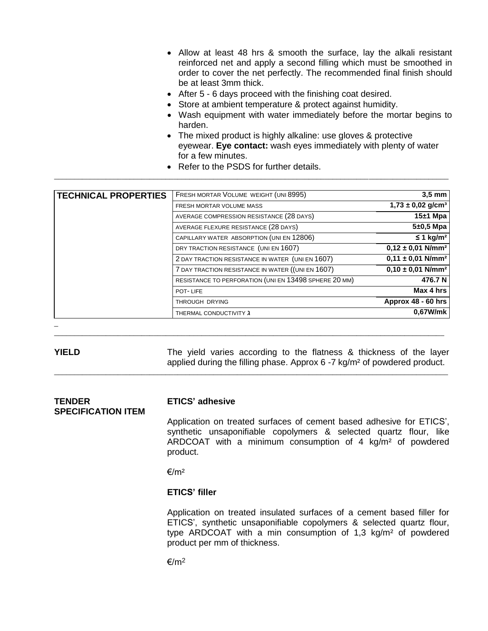- Allow at least 48 hrs & smooth the surface, lay the alkali resistant reinforced net and apply a second filling which must be smoothed in order to cover the net perfectly. The recommended final finish should be at least 3mm thick.
- After 5 6 days proceed with the finishing coat desired.
- Store at ambient temperature & protect against humidity.
- Wash equipment with water immediately before the mortar begins to harden.
- The mixed product is highly alkaline: use gloves & protective eyewear. **Eye contact:** wash eyes immediately with plenty of water for a few minutes.
- Refer to the PSDS for further details.

\_\_\_\_\_\_\_\_\_\_\_\_\_\_\_\_\_\_\_\_\_\_\_\_\_\_\_\_\_\_\_\_\_\_\_\_\_\_\_\_\_\_\_\_\_\_\_\_\_\_\_\_\_\_\_\_\_\_\_\_\_\_\_\_\_\_\_\_\_\_\_\_\_\_\_\_\_\_\_\_\_\_\_\_\_\_\_\_\_\_\_\_\_\_\_\_\_\_\_

| <b>TECHNICAL PROPERTIES</b> | FRESH MORTAR VOLUME WEIGHT (UNI 8995)                 | $3.5 \text{ mm}$                  |
|-----------------------------|-------------------------------------------------------|-----------------------------------|
|                             | FRESH MORTAR VOLUME MASS                              | $1,73 \pm 0,02$ g/cm <sup>3</sup> |
|                             | AVERAGE COMPRESSION RESISTANCE (28 DAYS)              | $15±1$ Mpa                        |
|                             | AVERAGE FLEXURE RESISTANCE (28 DAYS)                  | $5±0,5$ Mpa                       |
|                             | CAPILLARY WATER ABSORPTION (UNI EN 12806)             | $\leq$ 1 kg/m <sup>2</sup>        |
|                             | DRY TRACTION RESISTANCE (UNI EN 1607)                 | $0,12 \pm 0,01$ N/mm <sup>2</sup> |
|                             | 2 DAY TRACTION RESISTANCE IN WATER (UNI EN 1607)      | $0,11 \pm 0,01$ N/mm <sup>2</sup> |
|                             | 7 DAY TRACTION RESISTANCE IN WATER ((UNI EN 1607)     | $0,10 \pm 0,01$ N/mm <sup>2</sup> |
|                             | RESISTANCE TO PERFORATION (UNI EN 13498 SPHERE 20 MM) | 476.7 N                           |
|                             | POT-LIFE                                              | Max 4 hrs                         |
|                             | THROUGH DRYING                                        | Approx 48 - 60 hrs                |
|                             | THERMAL CONDUCTIVITY $\lambda$                        | 0.67W/mk                          |

\_  $\_$  ,  $\_$  ,  $\_$  ,  $\_$  ,  $\_$  ,  $\_$  ,  $\_$  ,  $\_$  ,  $\_$  ,  $\_$  ,  $\_$  ,  $\_$  ,  $\_$  ,  $\_$  ,  $\_$  ,  $\_$  ,  $\_$  ,  $\_$  ,  $\_$  ,  $\_$  ,  $\_$  ,  $\_$  ,  $\_$  ,  $\_$  ,  $\_$  ,  $\_$  ,  $\_$  ,  $\_$  ,  $\_$  ,  $\_$  ,  $\_$  ,  $\_$  ,  $\_$  ,  $\_$  ,  $\_$  ,  $\_$  ,  $\_$  ,

### **YIELD** The yield varies according to the flatness & thickness of the layer applied during the filling phase. Approx 6 -7 kg/m² of powdered product. \_\_\_\_\_\_\_\_\_\_\_\_\_\_\_\_\_\_\_\_\_\_\_\_\_\_\_\_\_\_\_\_\_\_\_\_\_\_\_\_\_\_\_\_\_\_\_\_\_\_\_\_\_\_\_\_\_\_\_\_\_\_\_\_\_\_\_\_\_\_\_\_\_\_\_\_\_\_\_\_\_\_\_\_\_\_\_\_\_\_\_\_\_\_\_\_\_\_\_

### **TENDER ETICS' adhesive SPECIFICATION ITEM**

Application on treated surfaces of cement based adhesive for ETICS', synthetic unsaponifiable copolymers & selected quartz flour, like ARDCOAT with a minimum consumption of 4 kg/m² of powdered product.

€/m²

### **ETICS' filler**

Application on treated insulated surfaces of a cement based filler for ETICS', synthetic unsaponifiable copolymers & selected quartz flour, type ARDCOAT with a min consumption of 1,3 kg/m² of powdered product per mm of thickness.

 $€/m<sup>2</sup>$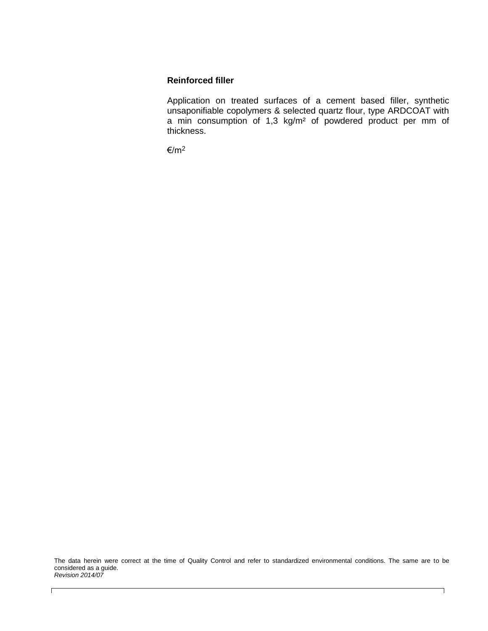## **Reinforced filler**

Application on treated surfaces of a cement based filler, synthetic unsaponifiable copolymers & selected quartz flour, type ARDCOAT with a min consumption of 1,3 kg/m<sup>2</sup> of powdered product per mm of thickness.

€/m<sup>2</sup>

The data herein were correct at the time of Quality Control and refer to standardized environmental conditions. The same are to be considered as a guide. *Revision 2014/07*